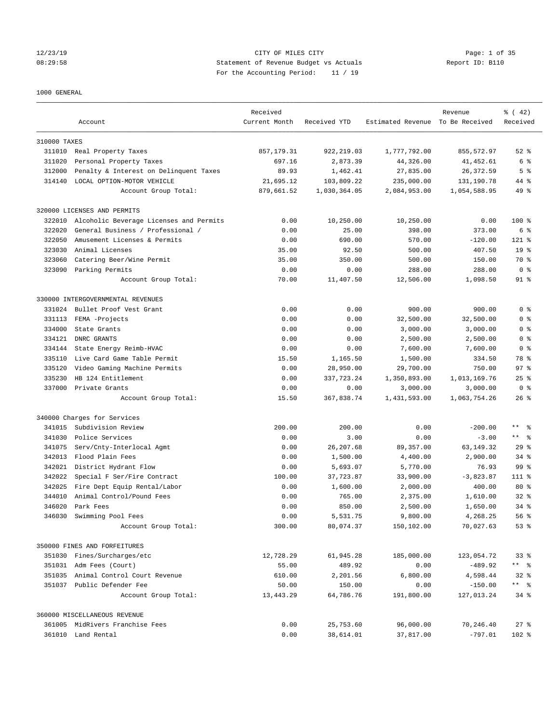## 12/23/19 CITY OF MILES CITY Page: 1 of 35 08:29:58 Statement of Revenue Budget vs Actuals Report ID: B110 For the Accounting Period: 11 / 19

### 1000 GENERAL

|              | Account                                 | Received<br>Current Month | Received YTD | Estimated Revenue To Be Received | Revenue      | $\frac{1}{6}$ ( 42)<br>Received |
|--------------|-----------------------------------------|---------------------------|--------------|----------------------------------|--------------|---------------------------------|
| 310000 TAXES |                                         |                           |              |                                  |              |                                 |
|              | 311010 Real Property Taxes              | 857, 179.31               | 922, 219.03  | 1,777,792.00                     | 855,572.97   | $52$ $%$                        |
| 311020       | Personal Property Taxes                 | 697.16                    | 2,873.39     | 44,326.00                        | 41, 452.61   | 6 %                             |
| 312000       | Penalty & Interest on Delinquent Taxes  | 89.93                     | 1,462.41     | 27,835.00                        | 26, 372.59   | 5 <sup>°</sup>                  |
| 314140       | LOCAL OPTION-MOTOR VEHICLE              | 21,695.12                 | 103,809.22   | 235,000.00                       | 131,190.78   | 44 %                            |
|              | Account Group Total:                    | 879,661.52                | 1,030,364.05 | 2,084,953.00                     | 1,054,588.95 | 49 %                            |
|              | 320000 LICENSES AND PERMITS             |                           |              |                                  |              |                                 |
| 322010       | Alcoholic Beverage Licenses and Permits | 0.00                      | 10,250.00    | 10,250.00                        | 0.00         | $100$ %                         |
| 322020       | General Business / Professional /       | 0.00                      | 25.00        | 398.00                           | 373.00       | 6 <sup>8</sup>                  |
| 322050       | Amusement Licenses & Permits            | 0.00                      | 690.00       | 570.00                           | $-120.00$    | $121$ %                         |
| 323030       | Animal Licenses                         | 35.00                     | 92.50        | 500.00                           | 407.50       | 19 <sup>°</sup>                 |
| 323060       | Catering Beer/Wine Permit               | 35.00                     | 350.00       | 500.00                           | 150.00       | 70 %                            |
| 323090       | Parking Permits                         | 0.00                      | 0.00         | 288.00                           | 288.00       | 0 <sup>8</sup>                  |
|              | Account Group Total:                    | 70.00                     | 11,407.50    | 12,506.00                        | 1,098.50     | 91 %                            |
|              | 330000 INTERGOVERNMENTAL REVENUES       |                           |              |                                  |              |                                 |
| 331024       | Bullet Proof Vest Grant                 | 0.00                      | 0.00         | 900.00                           | 900.00       | 0 <sup>8</sup>                  |
| 331113       | FEMA -Projects                          | 0.00                      | 0.00         | 32,500.00                        | 32,500.00    | 0 <sup>8</sup>                  |
| 334000       | State Grants                            | 0.00                      | 0.00         | 3,000.00                         | 3,000.00     | 0 <sup>8</sup>                  |
| 334121       | DNRC GRANTS                             | 0.00                      | 0.00         | 2,500.00                         | 2,500.00     | 0 <sup>8</sup>                  |
| 334144       | State Energy Reimb-HVAC                 | 0.00                      | 0.00         | 7,600.00                         | 7,600.00     | 0 <sup>8</sup>                  |
| 335110       | Live Card Game Table Permit             | 15.50                     | 1,165.50     | 1,500.00                         | 334.50       | 78 %                            |
| 335120       | Video Gaming Machine Permits            | 0.00                      | 28,950.00    | 29,700.00                        | 750.00       | 97%                             |
| 335230       | HB 124 Entitlement                      | 0.00                      | 337,723.24   | 1,350,893.00                     | 1,013,169.76 | $25$ $%$                        |
| 337000       | Private Grants                          | 0.00                      | 0.00         | 3,000.00                         | 3,000.00     | 0 <sup>8</sup>                  |
|              | Account Group Total:                    | 15.50                     | 367,838.74   | 1,431,593.00                     | 1,063,754.26 | $26$ %                          |
|              | 340000 Charges for Services             |                           |              |                                  |              |                                 |
| 341015       | Subdivision Review                      | 200.00                    | 200.00       | 0.00                             | $-200.00$    | $\star\star$<br>ి               |
| 341030       | Police Services                         | 0.00                      | 3.00         | 0.00                             | $-3.00$      | $***$ $ -$                      |
| 341075       | Serv/Cnty-Interlocal Agmt               | 0.00                      | 26, 207.68   | 89, 357.00                       | 63, 149. 32  | 29 <sup>8</sup>                 |
| 342013       | Flood Plain Fees                        | 0.00                      | 1,500.00     | 4,400.00                         | 2,900.00     | $34$ $%$                        |
| 342021       | District Hydrant Flow                   | 0.00                      | 5,693.07     | 5,770.00                         | 76.93        | 99 %                            |
| 342022       | Special F Ser/Fire Contract             | 100.00                    | 37,723.87    | 33,900.00                        | $-3,823.87$  | $111$ %                         |
| 342025       | Fire Dept Equip Rental/Labor            | 0.00                      | 1,600.00     | 2,000.00                         | 400.00       | $80*$                           |
| 344010       | Animal Control/Pound Fees               | 0.00                      | 765.00       | 2,375.00                         | 1,610.00     | $32*$                           |
| 346020       | Park Fees                               | 0.00                      | 850.00       | 2.500.00                         | 1,650.00     | $34$ $%$                        |
| 346030       | Swimming Pool Fees                      | 0.00                      | 5,531.75     | 9,800.00                         | 4,268.25     | 56%                             |
|              | Account Group Total:                    | 300.00                    | 80,074.37    | 150,102.00                       | 70,027.63    | 53%                             |
|              | 350000 FINES AND FORFEITURES            |                           |              |                                  |              |                                 |
|              | 351030 Fines/Surcharges/etc             | 12,728.29                 | 61,945.28    | 185,000.00                       | 123,054.72   | 33 <sup>8</sup>                 |
|              | 351031 Adm Fees (Court)                 | 55.00                     | 489.92       | 0.00                             | $-489.92$    | ** %                            |
|              | 351035 Animal Control Court Revenue     | 610.00                    | 2,201.56     | 6,800.00                         | 4,598.44     | $32$ $%$                        |
| 351037       | Public Defender Fee                     | 50.00                     | 150.00       | 0.00                             | $-150.00$    | ** %                            |
|              | Account Group Total:                    | 13,443.29                 | 64,786.76    | 191,800.00                       | 127,013.24   | $34$ $%$                        |
|              | 360000 MISCELLANEOUS REVENUE            |                           |              |                                  |              |                                 |
|              | 361005 MidRivers Franchise Fees         | 0.00                      | 25,753.60    | 96,000.00                        | 70,246.40    | $27$ %                          |
|              | 361010 Land Rental                      | 0.00                      | 38,614.01    | 37,817.00                        | $-797.01$    | 102 %                           |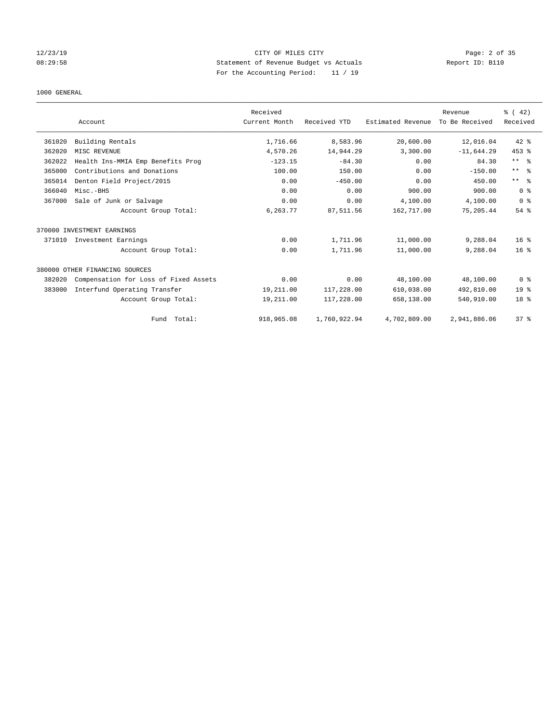## 12/23/19 CITY OF MILES CITY Page: 2 of 35 08:29:58 Statement of Revenue Budget vs Actuals Report ID: B110 For the Accounting Period: 11 / 19

### 1000 GENERAL

|        |                                       | Received      |              |                   | Revenue        | $\frac{3}{6}$ ( 42) |
|--------|---------------------------------------|---------------|--------------|-------------------|----------------|---------------------|
|        | Account                               | Current Month | Received YTD | Estimated Revenue | To Be Received | Received            |
| 361020 | Building Rentals                      | 1,716.66      | 8,583.96     | 20,600.00         | 12,016.04      | $42*$               |
| 362020 | MISC REVENUE                          | 4,570.26      | 14,944.29    | 3,300.00          | $-11,644.29$   | 453 %               |
| 362022 | Health Ins-MMIA Emp Benefits Prog     | $-123.15$     | $-84.30$     | 0.00              | 84.30          | $***$ $ -$          |
| 365000 | Contributions and Donations           | 100.00        | 150.00       | 0.00              | $-150.00$      | $***$ $ -$          |
| 365014 | Denton Field Project/2015             | 0.00          | $-450.00$    | 0.00              | 450.00         | $***$ $ -$          |
| 366040 | Misc.-BHS                             | 0.00          | 0.00         | 900.00            | 900.00         | 0 <sup>8</sup>      |
| 367000 | Sale of Junk or Salvage               | 0.00          | 0.00         | 4,100.00          | 4,100.00       | 0 <sup>8</sup>      |
|        | Account Group Total:                  | 6,263.77      | 87,511.56    | 162,717.00        | 75,205.44      | $54$ $%$            |
|        | 370000 INVESTMENT EARNINGS            |               |              |                   |                |                     |
| 371010 | Investment Earnings                   | 0.00          | 1,711.96     | 11,000.00         | 9,288.04       | $16*$               |
|        | Account Group Total:                  | 0.00          | 1,711.96     | 11,000.00         | 9,288.04       | $16*$               |
|        | 380000 OTHER FINANCING SOURCES        |               |              |                   |                |                     |
| 382020 | Compensation for Loss of Fixed Assets | 0.00          | 0.00         | 48,100.00         | 48,100.00      | 0 <sup>8</sup>      |
| 383000 | Interfund Operating Transfer          | 19,211.00     | 117,228.00   | 610,038.00        | 492,810.00     | 19 <sup>°</sup>     |
|        | Account Group Total:                  | 19,211.00     | 117,228.00   | 658,138.00        | 540,910.00     | 18 <sup>8</sup>     |
|        | Fund Total:                           | 918,965.08    | 1,760,922.94 | 4,702,809.00      | 2,941,886.06   | 37%                 |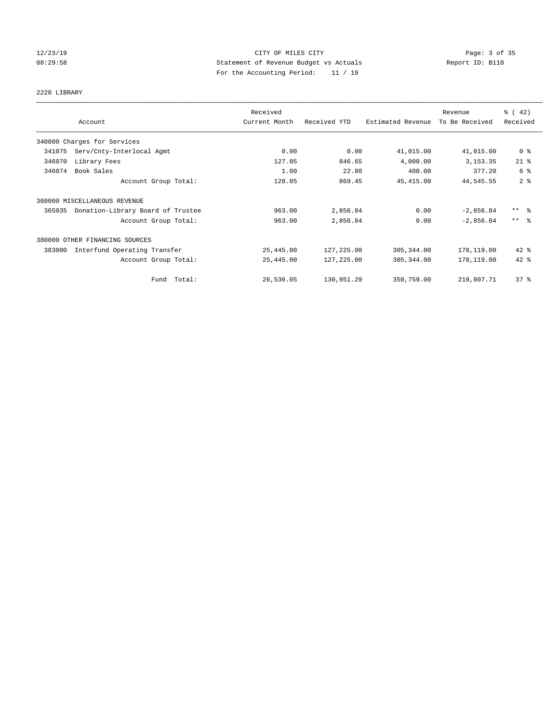## 12/23/19 CITY OF MILES CITY Page: 3 of 35 08:29:58 Statement of Revenue Budget vs Actuals Report ID: B110 For the Accounting Period: 11 / 19

# 2220 LIBRARY

|        |                                   | Received      |              |                   | Revenue        | $\frac{1}{6}$ ( 42) |
|--------|-----------------------------------|---------------|--------------|-------------------|----------------|---------------------|
|        | Account                           | Current Month | Received YTD | Estimated Revenue | To Be Received | Received            |
|        | 340000 Charges for Services       |               |              |                   |                |                     |
| 341075 | Serv/Cnty-Interlocal Agmt         | 0.00          | 0.00         | 41,015.00         | 41,015.00      | 0 <sup>8</sup>      |
| 346070 | Library Fees                      | 127.05        | 846.65       | 4,000.00          | 3, 153. 35     | $21$ %              |
| 346074 | Book Sales                        | 1.00          | 22.80        | 400.00            | 377.20         | 6 %                 |
|        | Account Group Total:              | 128.05        | 869.45       | 45, 415.00        | 44,545.55      | 2 <sup>°</sup>      |
|        | 360000 MISCELLANEOUS REVENUE      |               |              |                   |                |                     |
| 365035 | Donation-Library Board of Trustee | 963.00        | 2,856.84     | 0.00              | $-2,856.84$    | $***$ $\frac{6}{5}$ |
|        | Account Group Total:              | 963.00        | 2,856.84     | 0.00              | $-2,856.84$    | $***$ 2             |
|        | 380000 OTHER FINANCING SOURCES    |               |              |                   |                |                     |
| 383000 | Interfund Operating Transfer      | 25,445.00     | 127,225.00   | 305,344.00        | 178,119.00     | $42$ %              |
|        | Account Group Total:              | 25,445.00     | 127,225.00   | 305, 344.00       | 178,119.00     | 42 %                |
|        | Fund Total:                       | 26,536.05     | 130,951.29   | 350,759.00        | 219,807.71     | 37%                 |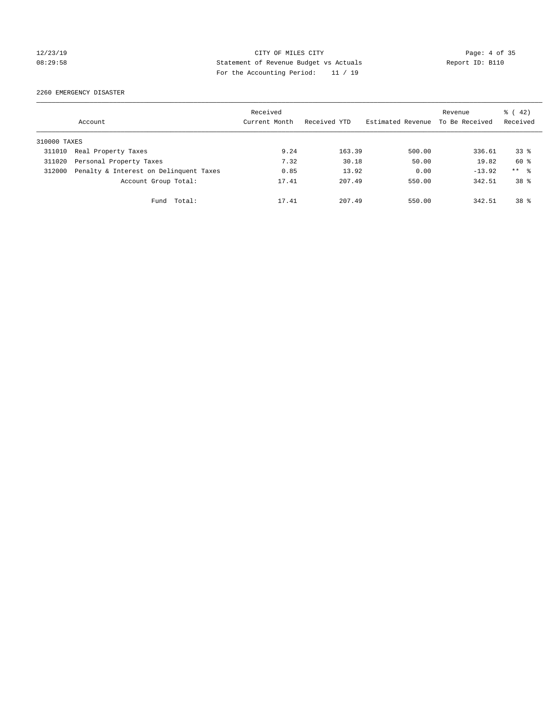## 12/23/19 CITY OF MILES CITY Page: 4 of 35 08:29:58 Statement of Revenue Budget vs Actuals Report ID: B110 For the Accounting Period: 11 / 19

2260 EMERGENCY DISASTER

|              | Account                                | Received<br>Current Month | Received YTD | Estimated Revenue | Revenue<br>To Be Received | $\frac{1}{6}$ ( 42)<br>Received |
|--------------|----------------------------------------|---------------------------|--------------|-------------------|---------------------------|---------------------------------|
| 310000 TAXES |                                        |                           |              |                   |                           |                                 |
| 311010       | Real Property Taxes                    | 9.24                      | 163.39       | 500.00            | 336.61                    | 338                             |
| 311020       | Personal Property Taxes                | 7.32                      | 30.18        | 50.00             | 19.82                     | 60 %                            |
| 312000       | Penalty & Interest on Delinquent Taxes | 0.85                      | 13.92        | 0.00              | $-13.92$                  | $***$ %                         |
|              | Account Group Total:                   | 17.41                     | 207.49       | 550.00            | 342.51                    | $38*$                           |
|              | Fund Total:                            | 17.41                     | 207.49       | 550.00            | 342.51                    | $38*$                           |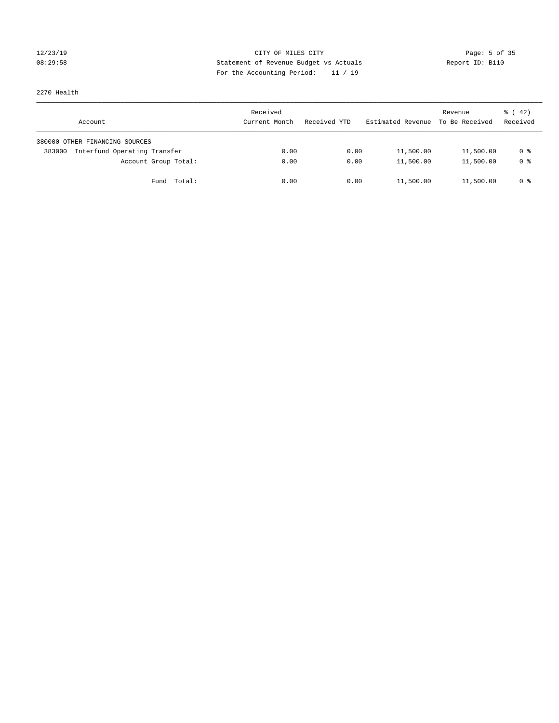## 12/23/19 CITY OF MILES CITY Page: 5 of 35 08:29:58 Statement of Revenue Budget vs Actuals Report ID: B110 For the Accounting Period: 11 / 19

2270 Health

| Account                                | Received<br>Current Month | Received YTD | Estimated Revenue | Revenue<br>To Be Received | $\frac{1}{6}$ ( 42)<br>Received |
|----------------------------------------|---------------------------|--------------|-------------------|---------------------------|---------------------------------|
| 380000 OTHER FINANCING SOURCES         |                           |              |                   |                           |                                 |
| Interfund Operating Transfer<br>383000 | 0.00                      | 0.00         | 11,500.00         | 11,500.00                 | 0 %                             |
| Account Group Total:                   | 0.00                      | 0.00         | 11,500.00         | 11,500.00                 | 0 %                             |
| Fund Total:                            | 0.00                      | 0.00         | 11,500.00         | 11,500.00                 | 0 %                             |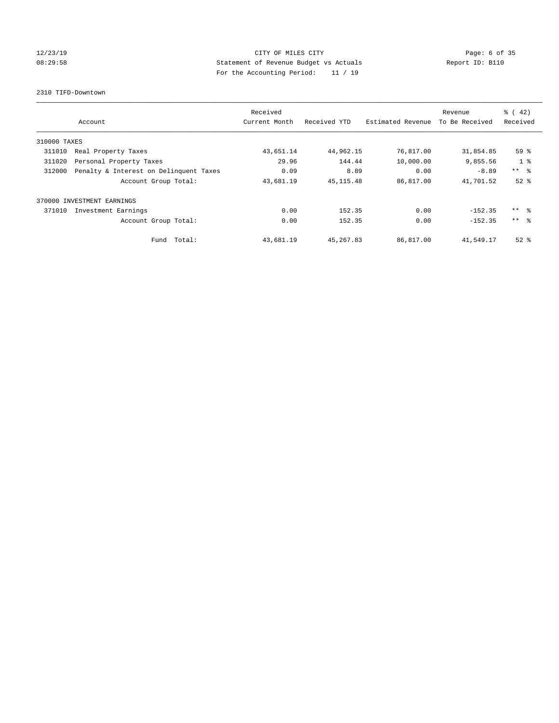## 12/23/19 CITY OF MILES CITY Page: 6 of 35 08:29:58 Statement of Revenue Budget vs Actuals Report ID: B110 For the Accounting Period: 11 / 19

2310 TIFD-Downtown

|              | Account                                | Received<br>Current Month | Received YTD | Estimated Revenue | Revenue<br>To Be Received | $\frac{1}{6}$ ( 42)<br>Received |
|--------------|----------------------------------------|---------------------------|--------------|-------------------|---------------------------|---------------------------------|
| 310000 TAXES |                                        |                           |              |                   |                           |                                 |
| 311010       | Real Property Taxes                    | 43,651.14                 | 44,962.15    | 76,817.00         | 31,854.85                 | 59 %                            |
| 311020       | Personal Property Taxes                | 29.96                     | 144.44       | 10,000.00         | 9,855.56                  | 1 <sup>8</sup>                  |
| 312000       | Penalty & Interest on Delinquent Taxes | 0.09                      | 8.89         | 0.00              | $-8.89$                   | $***$ $\approx$                 |
|              | Account Group Total:                   | 43,681.19                 | 45, 115.48   | 86,817.00         | 41,701.52                 | $52$ $%$                        |
|              | 370000 INVESTMENT EARNINGS             |                           |              |                   |                           |                                 |
| 371010       | Investment Earnings                    | 0.00                      | 152.35       | 0.00              | $-152.35$                 | $***$ $\approx$                 |
|              | Account Group Total:                   | 0.00                      | 152.35       | 0.00              | $-152.35$                 | $***$ $\approx$                 |
|              | Fund Total:                            | 43,681.19                 | 45, 267.83   | 86,817.00         | 41,549.17                 | $52$ $%$                        |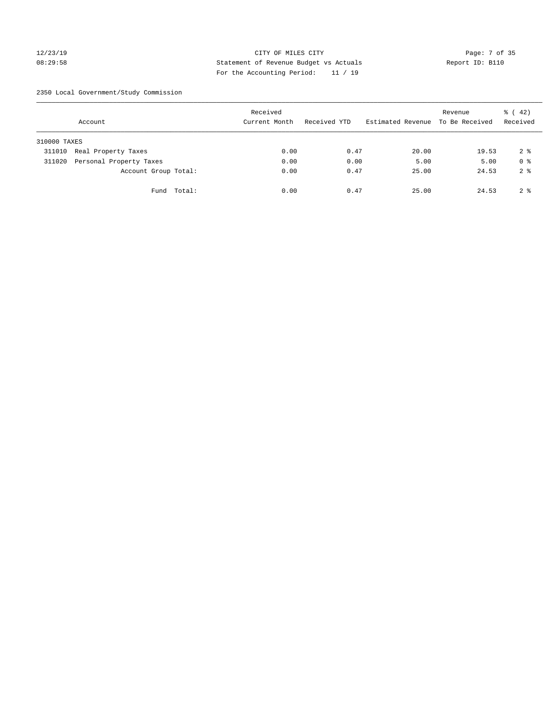## 12/23/19 CITY OF MILES CITY Page: 7 of 35 08:29:58 Statement of Revenue Budget vs Actuals Report ID: B110 For the Accounting Period: 11 / 19

2350 Local Government/Study Commission

|              | Account                 |             | Received<br>Current Month |      | Received YTD |      | Estimated Revenue To Be Received | Revenue | $\frac{1}{6}$ ( 42)<br>Received |
|--------------|-------------------------|-------------|---------------------------|------|--------------|------|----------------------------------|---------|---------------------------------|
| 310000 TAXES |                         |             |                           |      |              |      |                                  |         |                                 |
| 311010       | Real Property Taxes     |             |                           | 0.00 |              | 0.47 | 20.00                            | 19.53   | 2 <sup>8</sup>                  |
| 311020       | Personal Property Taxes |             |                           | 0.00 |              | 0.00 | 5.00                             | 5.00    | 0 <sup>8</sup>                  |
|              | Account Group Total:    |             |                           | 0.00 |              | 0.47 | 25.00                            | 24.53   | 2 <sup>8</sup>                  |
|              |                         | Fund Total: |                           | 0.00 |              | 0.47 | 25.00                            | 24.53   | 2 <sup>8</sup>                  |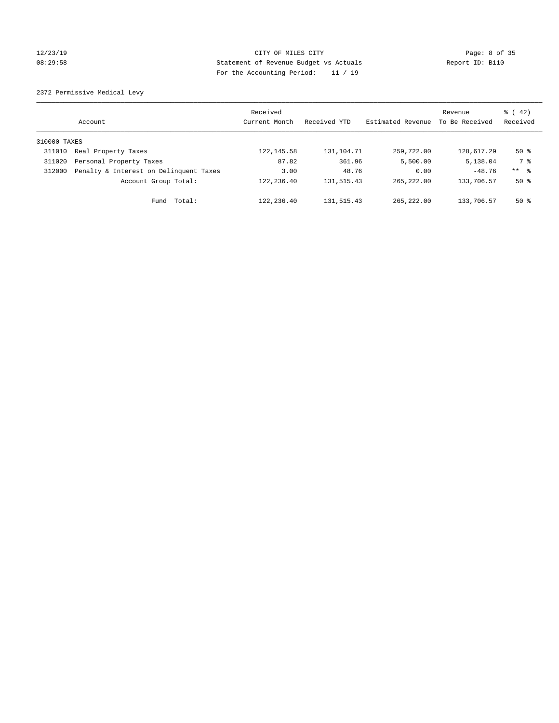## 12/23/19 CITY OF MILES CITY Page: 8 of 35 08:29:58 Statement of Revenue Budget vs Actuals Report ID: B110 For the Accounting Period: 11 / 19

2372 Permissive Medical Levy

|              | Account                                | Received<br>Current Month | Received YTD | Estimated Revenue | Revenue<br>To Be Received | $\frac{1}{6}$ ( 42)<br>Received |
|--------------|----------------------------------------|---------------------------|--------------|-------------------|---------------------------|---------------------------------|
| 310000 TAXES |                                        |                           |              |                   |                           |                                 |
| 311010       | Real Property Taxes                    | 122, 145.58               | 131,104.71   | 259,722.00        | 128,617.29                | $50*$                           |
| 311020       | Personal Property Taxes                | 87.82                     | 361.96       | 5,500.00          | 5,138.04                  | 7 %                             |
| 312000       | Penalty & Interest on Delinquent Taxes | 3.00                      | 48.76        | 0.00              | $-48.76$                  | ** 8                            |
|              | Account Group Total:                   | 122,236.40                | 131,515.43   | 265, 222, 00      | 133,706.57                | $50*$                           |
|              | Total:<br>Fund                         | 122, 236.40               | 131,515.43   | 265, 222, 00      | 133,706.57                | $50*$                           |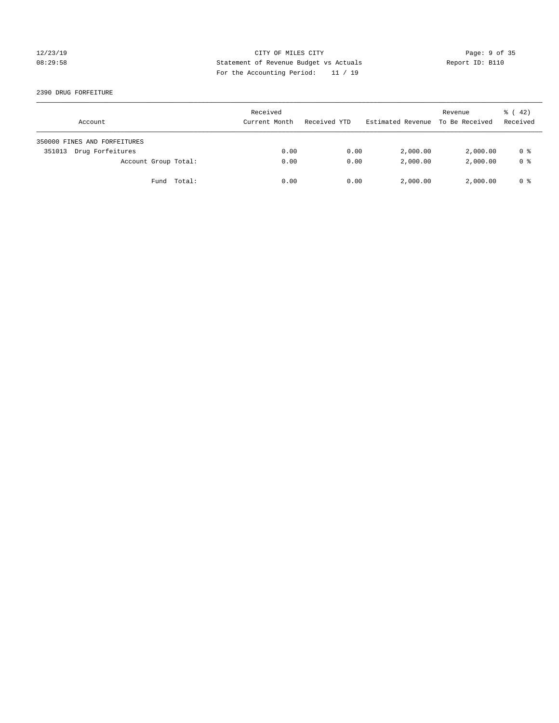## 12/23/19 CITY OF MILES CITY Page: 9 of 35 08:29:58 Statement of Revenue Budget vs Actuals Report ID: B110 For the Accounting Period: 11 / 19

2390 DRUG FORFEITURE

| Account                      | Received<br>Current Month | Received YTD | Estimated Revenue | Revenue<br>To Be Received | $\frac{1}{6}$ ( 42)<br>Received |
|------------------------------|---------------------------|--------------|-------------------|---------------------------|---------------------------------|
| 350000 FINES AND FORFEITURES |                           |              |                   |                           |                                 |
| Drug Forfeitures<br>351013   | 0.00                      | 0.00         | 2,000.00          | 2,000.00                  | 0 %                             |
| Account Group Total:         | 0.00                      | 0.00         | 2,000.00          | 2,000.00                  | 0 <sup>8</sup>                  |
| Fund Total:                  | 0.00                      | 0.00         | 2,000.00          | 2,000.00                  | 0 %                             |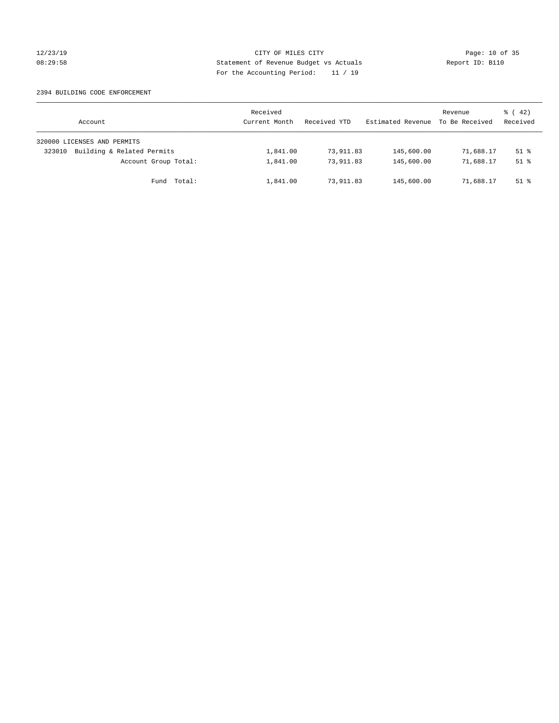### 12/23/19 Page: 10 of 35 08:29:58 Statement of Revenue Budget vs Actuals Report ID: B110 For the Accounting Period: 11 / 19

### 2394 BUILDING CODE ENFORCEMENT

| Account                              | Received<br>Current Month | Received YTD | Estimated Revenue | Revenue<br>To Be Received | $\frac{1}{6}$ ( 42)<br>Received |
|--------------------------------------|---------------------------|--------------|-------------------|---------------------------|---------------------------------|
| 320000 LICENSES AND PERMITS          |                           |              |                   |                           |                                 |
| Building & Related Permits<br>323010 | 1,841.00                  | 73,911.83    | 145,600.00        | 71,688.17                 | $51$ %                          |
| Account Group Total:                 | 1,841.00                  | 73,911.83    | 145,600.00        | 71,688.17                 | $51$ $\frac{6}{3}$              |
| Fund Total:                          | 1,841.00                  | 73,911.83    | 145,600.00        | 71,688.17                 | $51$ %                          |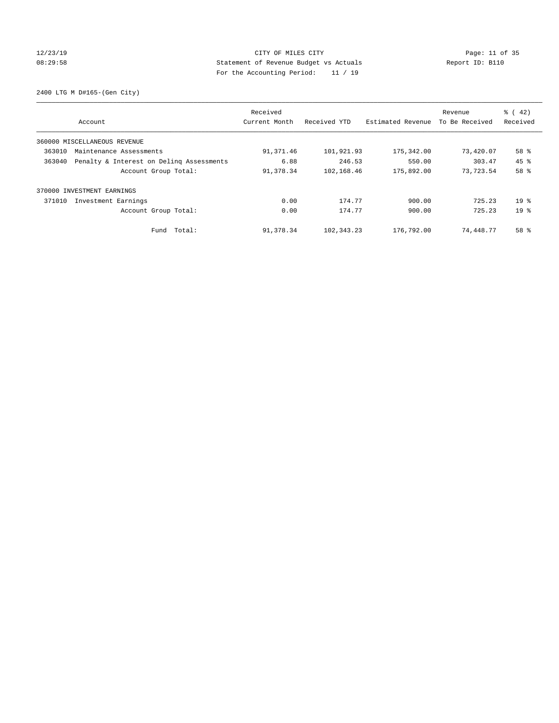## 12/23/19 Page: 11 of 35 08:29:58 Statement of Revenue Budget vs Actuals Report ID: B110 For the Accounting Period: 11 / 19

2400 LTG M D#165-(Gen City)

|        | Account                                  | Received<br>Current Month | Received YTD | Estimated Revenue | Revenue<br>To Be Received | $\frac{6}{6}$ ( 42)<br>Received |
|--------|------------------------------------------|---------------------------|--------------|-------------------|---------------------------|---------------------------------|
|        | 360000 MISCELLANEOUS REVENUE             |                           |              |                   |                           |                                 |
| 363010 | Maintenance Assessments                  | 91,371.46                 | 101,921.93   | 175,342.00        | 73,420.07                 | 58 %                            |
| 363040 | Penalty & Interest on Deling Assessments | 6.88                      | 246.53       | 550.00            | 303.47                    | 45 %                            |
|        | Account Group Total:                     | 91,378.34                 | 102,168.46   | 175,892.00        | 73,723.54                 | 58 %                            |
|        | 370000 INVESTMENT EARNINGS               |                           |              |                   |                           |                                 |
| 371010 | Investment Earnings                      | 0.00                      | 174.77       | 900.00            | 725.23                    | $19*$                           |
|        | Account Group Total:                     | 0.00                      | 174.77       | 900.00            | 725.23                    | 19 <sup>8</sup>                 |
|        | Fund Total:                              | 91,378.34                 | 102,343.23   | 176,792.00        | 74,448.77                 | 58 %                            |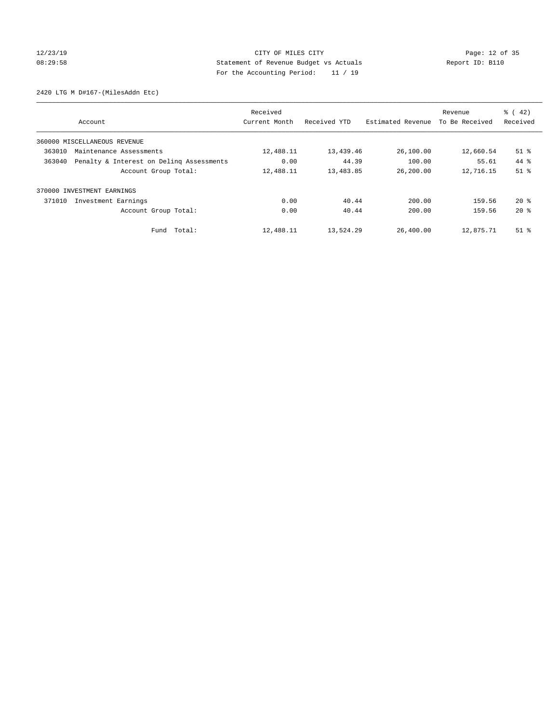## 12/23/19 Page: 12 of 35 08:29:58 Statement of Revenue Budget vs Actuals Report ID: B110 For the Accounting Period: 11 / 19

2420 LTG M D#167-(MilesAddn Etc)

|        | Account                                  | Received<br>Current Month | Received YTD | Estimated Revenue | Revenue<br>To Be Received | $\frac{6}{6}$ ( 42)<br>Received |
|--------|------------------------------------------|---------------------------|--------------|-------------------|---------------------------|---------------------------------|
|        | 360000 MISCELLANEOUS REVENUE             |                           |              |                   |                           |                                 |
| 363010 | Maintenance Assessments                  | 12,488.11                 | 13,439.46    | 26,100.00         | 12,660.54                 | $51$ %                          |
| 363040 | Penalty & Interest on Deling Assessments | 0.00                      | 44.39        | 100.00            | 55.61                     | 44 %                            |
|        | Account Group Total:                     | 12,488.11                 | 13,483.85    | 26,200.00         | 12,716.15                 | $51$ %                          |
|        | 370000 INVESTMENT EARNINGS               |                           |              |                   |                           |                                 |
| 371010 | Investment Earnings                      | 0.00                      | 40.44        | 200.00            | 159.56                    | $20*$                           |
|        | Account Group Total:                     | 0.00                      | 40.44        | 200.00            | 159.56                    | $20*$                           |
|        | Fund Total:                              | 12,488.11                 | 13,524.29    | 26,400.00         | 12,875.71                 | $51$ $\frac{6}{3}$              |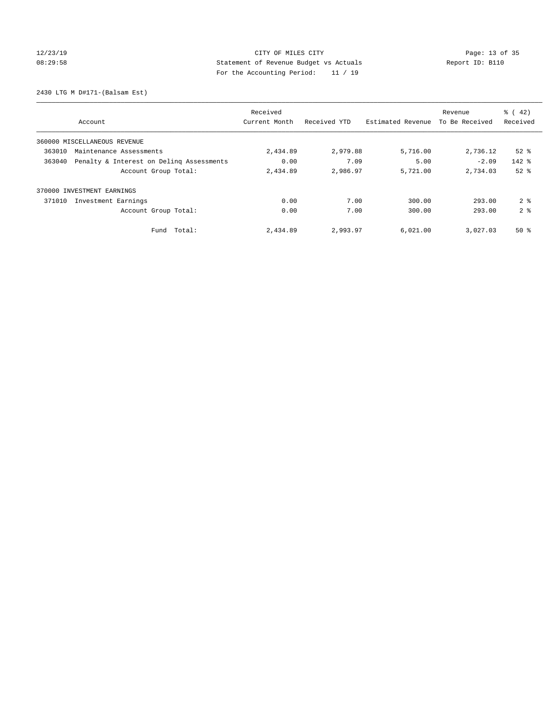## 12/23/19 Page: 13 of 35 08:29:58 Statement of Revenue Budget vs Actuals Report ID: B110 For the Accounting Period: 11 / 19

2430 LTG M D#171-(Balsam Est)

|                                                    | Received      |              |                   | Revenue        | $\frac{1}{6}$ ( 42) |
|----------------------------------------------------|---------------|--------------|-------------------|----------------|---------------------|
| Account                                            | Current Month | Received YTD | Estimated Revenue | To Be Received | Received            |
| 360000 MISCELLANEOUS REVENUE                       |               |              |                   |                |                     |
| 363010<br>Maintenance Assessments                  | 2,434.89      | 2,979.88     | 5,716.00          | 2,736.12       | $52$ $%$            |
| 363040<br>Penalty & Interest on Deling Assessments | 0.00          | 7.09         | 5.00              | $-2.09$        | $142$ $%$           |
| Account Group Total:                               | 2,434.89      | 2,986.97     | 5,721.00          | 2,734.03       | $52$ $%$            |
| 370000 INVESTMENT EARNINGS                         |               |              |                   |                |                     |
| 371010<br>Investment Earnings                      | 0.00          | 7.00         | 300.00            | 293.00         | 2 <sup>8</sup>      |
| Account Group Total:                               | 0.00          | 7.00         | 300.00            | 293.00         | 2 <sup>8</sup>      |
| Total:<br>Fund                                     | 2,434.89      | 2,993.97     | 6,021.00          | 3,027.03       | $50*$               |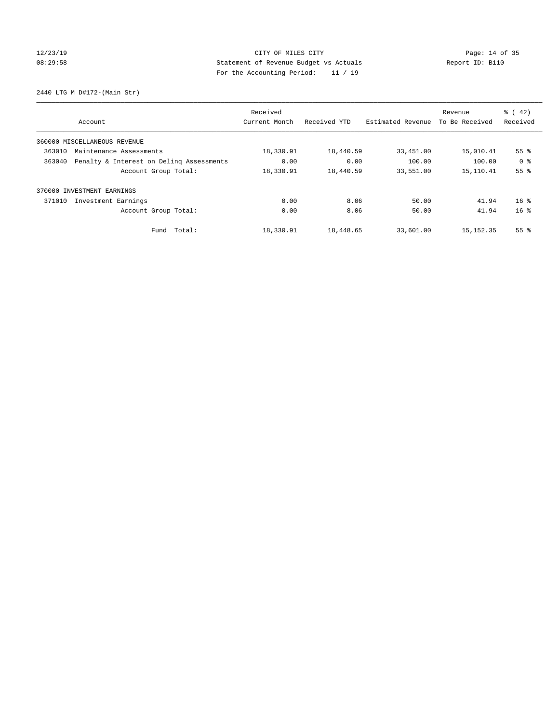## 12/23/19 Page: 14 of 35 08:29:58 Statement of Revenue Budget vs Actuals Report ID: B110 For the Accounting Period: 11 / 19

2440 LTG M D#172-(Main Str)

| Account                       |                                          | Received<br>Current Month | Received YTD | Estimated Revenue | Revenue<br>To Be Received | $\frac{1}{6}$ ( 42)<br>Received |
|-------------------------------|------------------------------------------|---------------------------|--------------|-------------------|---------------------------|---------------------------------|
| 360000 MISCELLANEOUS REVENUE  |                                          |                           |              |                   |                           |                                 |
| 363010                        | Maintenance Assessments                  |                           | 18,440.59    | 33,451.00         | 15,010.41                 | 55 <sup>8</sup>                 |
| 363040                        | Penalty & Interest on Deling Assessments | 0.00                      | 0.00         | 100.00            | 100.00                    | 0 <sup>8</sup>                  |
|                               | Account Group Total:                     | 18,330.91                 | 18,440.59    | 33,551.00         | 15, 110.41                | 55%                             |
| 370000 INVESTMENT EARNINGS    |                                          |                           |              |                   |                           |                                 |
| 371010<br>Investment Earnings |                                          | 0.00                      | 8.06         | 50.00             | 41.94                     | 16 <sup>8</sup>                 |
|                               | Account Group Total:                     | 0.00                      | 8.06         | 50.00             | 41.94                     | 16 <sup>8</sup>                 |
|                               | Fund Total:                              | 18,330.91                 | 18,448.65    | 33,601.00         | 15, 152.35                | 55 <sup>8</sup>                 |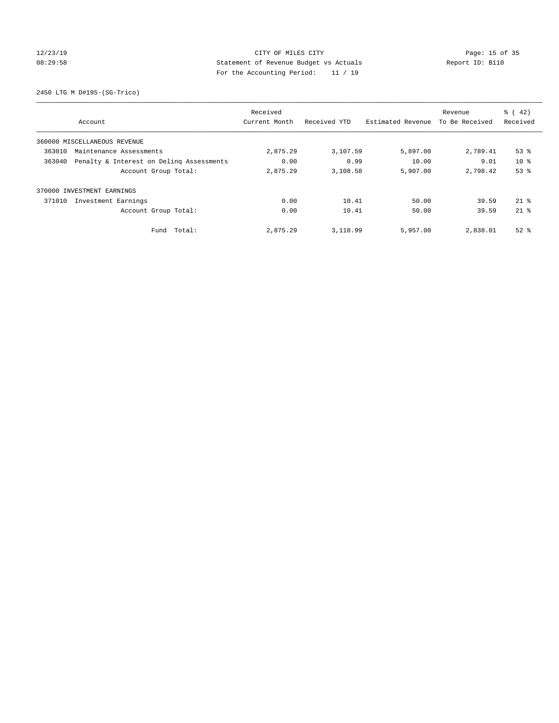## 12/23/19 Page: 15 of 35 08:29:58 Statement of Revenue Budget vs Actuals Report ID: B110 For the Accounting Period: 11 / 19

2450 LTG M D#195-(SG-Trico)

|        | Account                                  | Received<br>Current Month | Received YTD | Estimated Revenue | Revenue<br>To Be Received | $\frac{6}{6}$ ( 42)<br>Received |
|--------|------------------------------------------|---------------------------|--------------|-------------------|---------------------------|---------------------------------|
|        |                                          |                           |              |                   |                           |                                 |
|        | 360000 MISCELLANEOUS REVENUE             |                           |              |                   |                           |                                 |
| 363010 | Maintenance Assessments                  | 2,875.29                  | 3,107.59     | 5,897.00          | 2,789.41                  | $53$ $%$                        |
| 363040 | Penalty & Interest on Deling Assessments | 0.00                      | 0.99         | 10.00             | 9.01                      | $10*$                           |
|        | Account Group Total:                     | 2,875.29                  | 3,108.58     | 5,907.00          | 2,798.42                  | 53%                             |
| 370000 | INVESTMENT EARNINGS                      |                           |              |                   |                           |                                 |
| 371010 | Investment Earnings                      | 0.00                      | 10.41        | 50.00             | 39.59                     | $21*$                           |
|        | Account Group Total:                     | 0.00                      | 10.41        | 50.00             | 39.59                     | $21*$                           |
|        | Fund Total:                              | 2,875.29                  | 3,118.99     | 5,957.00          | 2,838.01                  | $52$ $%$                        |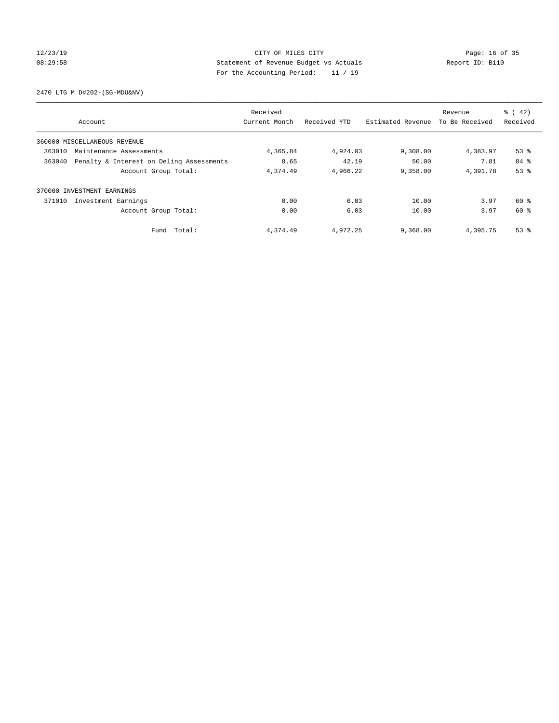## 12/23/19 Page: 16 of 35 08:29:58 Statement of Revenue Budget vs Actuals Report ID: B110 For the Accounting Period: 11 / 19

2470 LTG M D#202-(SG-MDU&NV)

| Account                                            | Received<br>Current Month | Received YTD |                   | Revenue<br>To Be Received | $\frac{6}{6}$ ( 42)<br>Received |
|----------------------------------------------------|---------------------------|--------------|-------------------|---------------------------|---------------------------------|
|                                                    |                           |              | Estimated Revenue |                           |                                 |
| 360000 MISCELLANEOUS REVENUE                       |                           |              |                   |                           |                                 |
| 363010<br>Maintenance Assessments                  | 4,365.84                  | 4,924.03     | 9,308.00          | 4,383.97                  | $53$ $%$                        |
| Penalty & Interest on Deling Assessments<br>363040 | 8.65                      | 42.19        | 50.00             | 7.81                      | 84 %                            |
| Account Group Total:                               | 4,374.49                  | 4,966.22     | 9,358.00          | 4,391.78                  | 53%                             |
| INVESTMENT EARNINGS<br>370000                      |                           |              |                   |                           |                                 |
| 371010<br>Investment Earnings                      | 0.00                      | 6.03         | 10.00             | 3.97                      | 60 %                            |
| Account Group Total:                               | 0.00                      | 6.03         | 10.00             | 3.97                      | 60 %                            |
| Fund Total:                                        | 4,374.49                  | 4,972.25     | 9,368.00          | 4,395.75                  | $53$ $%$                        |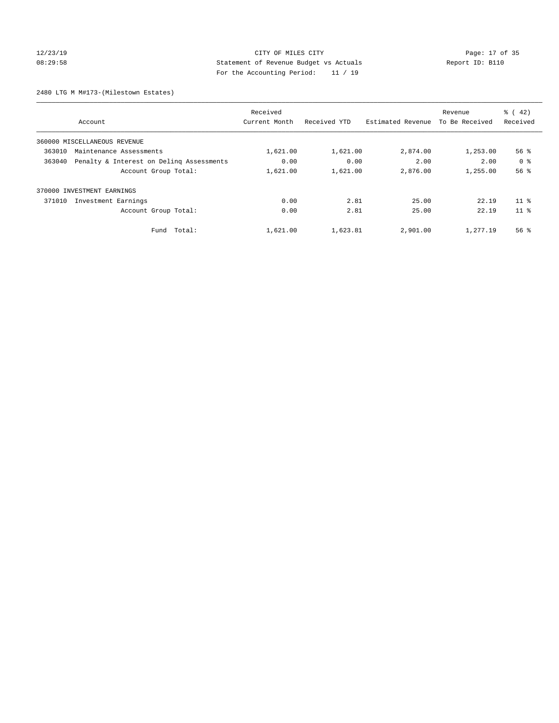## 12/23/19 Page: 17 of 35 08:29:58 Statement of Revenue Budget vs Actuals Report ID: B110 For the Accounting Period: 11 / 19

2480 LTG M M#173-(Milestown Estates)

| Account                                            | Received<br>Current Month | Received YTD | Estimated Revenue | Revenue<br>To Be Received | $\frac{1}{6}$ ( 42)<br>Received |
|----------------------------------------------------|---------------------------|--------------|-------------------|---------------------------|---------------------------------|
|                                                    |                           |              |                   |                           |                                 |
| 360000 MISCELLANEOUS REVENUE                       |                           |              |                   |                           |                                 |
| 363010<br>Maintenance Assessments                  | 1,621.00                  | 1,621.00     | 2,874.00          | 1,253.00                  | $56$ $\frac{6}{3}$              |
| Penalty & Interest on Deling Assessments<br>363040 | 0.00                      | 0.00         | 2.00              | 2.00                      | 0 <sup>8</sup>                  |
| Account Group Total:                               | 1,621.00                  | 1,621.00     | 2,876.00          | 1,255.00                  | 56%                             |
| 370000 INVESTMENT EARNINGS                         |                           |              |                   |                           |                                 |
| 371010<br>Investment Earnings                      | 0.00                      | 2.81         | 25.00             | 22.19                     | 11 <sup>8</sup>                 |
| Account Group Total:                               | 0.00                      | 2.81         | 25.00             | 22.19                     | 11 <sup>8</sup>                 |
| Fund Total:                                        | 1,621.00                  | 1,623.81     | 2,901.00          | 1,277.19                  | 56 %                            |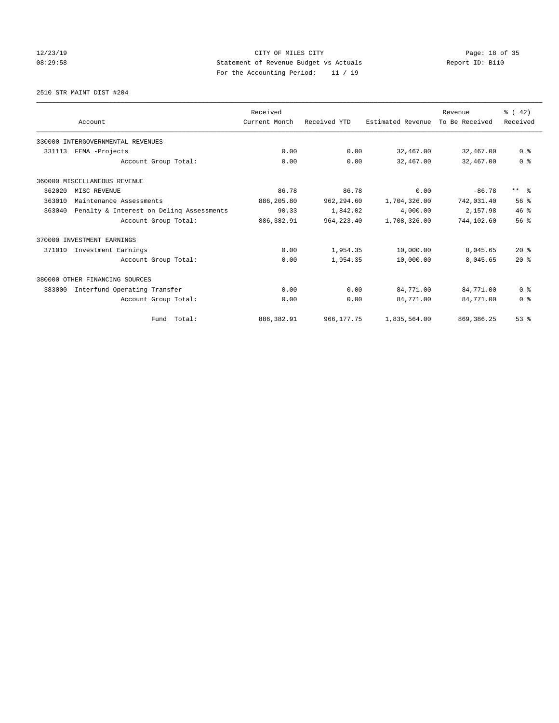## 12/23/19 Page: 18 of 35 08:29:58 Statement of Revenue Budget vs Actuals Report ID: B110 For the Accounting Period: 11 / 19

2510 STR MAINT DIST #204

|        |                                          | Received      |              |                   | Revenue        | $\frac{3}{6}$ ( 42) |
|--------|------------------------------------------|---------------|--------------|-------------------|----------------|---------------------|
|        | Account                                  | Current Month | Received YTD | Estimated Revenue | To Be Received | Received            |
|        | 330000 INTERGOVERNMENTAL REVENUES        |               |              |                   |                |                     |
| 331113 | FEMA -Projects                           | 0.00          | 0.00         | 32,467.00         | 32,467.00      | 0 <sup>8</sup>      |
|        | Account Group Total:                     | 0.00          | 0.00         | 32,467.00         | 32,467.00      | 0 <sup>8</sup>      |
|        | 360000 MISCELLANEOUS REVENUE             |               |              |                   |                |                     |
| 362020 | MISC REVENUE                             | 86.78         | 86.78        | 0.00              | $-86.78$       | $***$ $\frac{6}{5}$ |
| 363010 | Maintenance Assessments                  | 886,205.80    | 962,294.60   | 1,704,326.00      | 742,031.40     | 56%                 |
| 363040 | Penalty & Interest on Deling Assessments | 90.33         | 1,842.02     | 4,000.00          | 2,157.98       | 46%                 |
|        | Account Group Total:                     | 886, 382.91   | 964, 223, 40 | 1,708,326.00      | 744,102.60     | 56%                 |
|        | 370000 INVESTMENT EARNINGS               |               |              |                   |                |                     |
| 371010 | Investment Earnings                      | 0.00          | 1,954.35     | 10,000.00         | 8,045.65       | $20*$               |
|        | Account Group Total:                     | 0.00          | 1,954.35     | 10,000.00         | 8,045.65       | $20*$               |
|        | 380000 OTHER FINANCING SOURCES           |               |              |                   |                |                     |
| 383000 | Interfund Operating Transfer             | 0.00          | 0.00         | 84,771.00         | 84,771.00      | 0 <sup>8</sup>      |
|        | Account Group Total:                     | 0.00          | 0.00         | 84,771.00         | 84,771.00      | 0 <sup>8</sup>      |
|        | Fund Total:                              | 886, 382.91   | 966,177.75   | 1,835,564.00      | 869, 386.25    | 53%                 |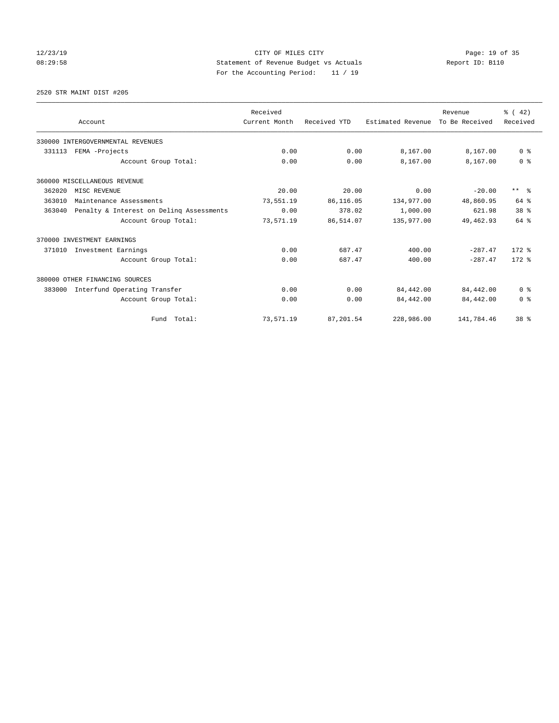## 12/23/19 Page: 19 of 35 08:29:58 Statement of Revenue Budget vs Actuals Report ID: B110 For the Accounting Period: 11 / 19

2520 STR MAINT DIST #205

|        |                                          | Received      |              |                   | Revenue        | $\frac{3}{6}$ ( 42) |
|--------|------------------------------------------|---------------|--------------|-------------------|----------------|---------------------|
|        | Account                                  | Current Month | Received YTD | Estimated Revenue | To Be Received | Received            |
|        | 330000 INTERGOVERNMENTAL REVENUES        |               |              |                   |                |                     |
| 331113 | FEMA -Projects                           | 0.00          | 0.00         | 8,167.00          | 8,167.00       | 0 <sup>8</sup>      |
|        | Account Group Total:                     | 0.00          | 0.00         | 8,167.00          | 8,167.00       | 0 <sup>8</sup>      |
|        | 360000 MISCELLANEOUS REVENUE             |               |              |                   |                |                     |
| 362020 | MISC REVENUE                             | 20.00         | 20.00        | 0.00              | $-20.00$       | $***$ $ -$          |
| 363010 | Maintenance Assessments                  | 73,551.19     | 86,116.05    | 134,977.00        | 48,860.95      | $64$ $%$            |
| 363040 | Penalty & Interest on Deling Assessments | 0.00          | 378.02       | 1,000.00          | 621.98         | 38 <sup>8</sup>     |
|        | Account Group Total:                     | 73,571.19     | 86,514.07    | 135,977.00        | 49,462.93      | 64 %                |
|        | 370000 INVESTMENT EARNINGS               |               |              |                   |                |                     |
| 371010 | Investment Earnings                      | 0.00          | 687.47       | 400.00            | $-287.47$      | $172$ $%$           |
|        | Account Group Total:                     | 0.00          | 687.47       | 400.00            | $-287.47$      | $172$ $%$           |
|        | 380000 OTHER FINANCING SOURCES           |               |              |                   |                |                     |
| 383000 | Interfund Operating Transfer             | 0.00          | 0.00         | 84,442.00         | 84,442.00      | 0 <sup>8</sup>      |
|        | Account Group Total:                     | 0.00          | 0.00         | 84,442.00         | 84,442.00      | 0 <sup>8</sup>      |
|        | Fund Total:                              | 73,571.19     | 87,201.54    | 228,986.00        | 141,784.46     | 38 <sup>8</sup>     |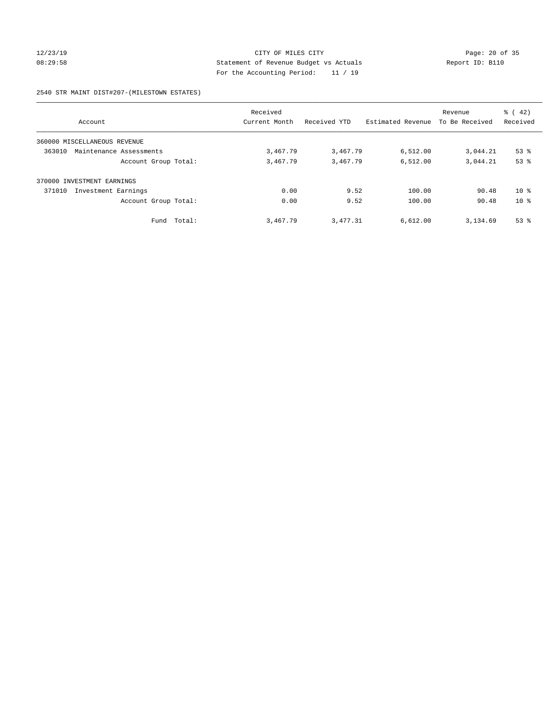## 12/23/19 Page: 20 of 35 08:29:58 Statement of Revenue Budget vs Actuals Report ID: B110 For the Accounting Period: 11 / 19

### 2540 STR MAINT DIST#207-(MILESTOWN ESTATES)

| Account                           | Received<br>Current Month | Received YTD | Estimated Revenue | Revenue<br>To Be Received | $\frac{1}{6}$ ( 42)<br>Received |
|-----------------------------------|---------------------------|--------------|-------------------|---------------------------|---------------------------------|
| 360000 MISCELLANEOUS REVENUE      |                           |              |                   |                           |                                 |
| 363010<br>Maintenance Assessments | 3,467.79                  | 3,467.79     | 6,512.00          | 3,044.21                  | $53$ $%$                        |
| Account Group Total:              | 3,467.79                  | 3,467.79     | 6,512.00          | 3,044.21                  | 53%                             |
| 370000 INVESTMENT EARNINGS        |                           |              |                   |                           |                                 |
| 371010<br>Investment Earnings     | 0.00                      | 9.52         | 100.00            | 90.48                     | $10*$                           |
| Account Group Total:              | 0.00                      | 9.52         | 100.00            | 90.48                     | $10*$                           |
| Fund Total:                       | 3,467.79                  | 3,477.31     | 6,612.00          | 3,134.69                  | $53$ $%$                        |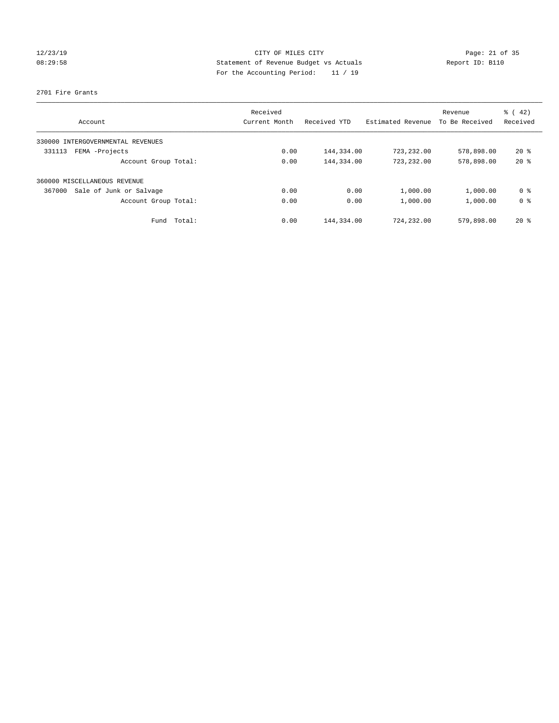## 12/23/19 Page: 21 of 35 08:29:58 Statement of Revenue Budget vs Actuals Report ID: B110 For the Accounting Period: 11 / 19

### 2701 Fire Grants

| Account                           | Received<br>Current Month | Received YTD | Estimated Revenue | Revenue<br>To Be Received | $\frac{1}{6}$ ( 42)<br>Received |
|-----------------------------------|---------------------------|--------------|-------------------|---------------------------|---------------------------------|
|                                   |                           |              |                   |                           |                                 |
| 330000 INTERGOVERNMENTAL REVENUES |                           |              |                   |                           |                                 |
| FEMA -Projects<br>331113          | 0.00                      | 144,334.00   | 723,232.00        | 578,898.00                | $20*$                           |
| Account Group Total:              | 0.00                      | 144,334.00   | 723,232.00        | 578,898.00                | $20*$                           |
| 360000 MISCELLANEOUS REVENUE      |                           |              |                   |                           |                                 |
| Sale of Junk or Salvage<br>367000 | 0.00                      | 0.00         | 1,000.00          | 1,000.00                  | 0 <sup>8</sup>                  |
| Account Group Total:              | 0.00                      | 0.00         | 1,000.00          | 1,000.00                  | 0 <sup>8</sup>                  |
| Total:<br>Fund                    | 0.00                      | 144,334.00   | 724,232.00        | 579,898.00                | $20*$                           |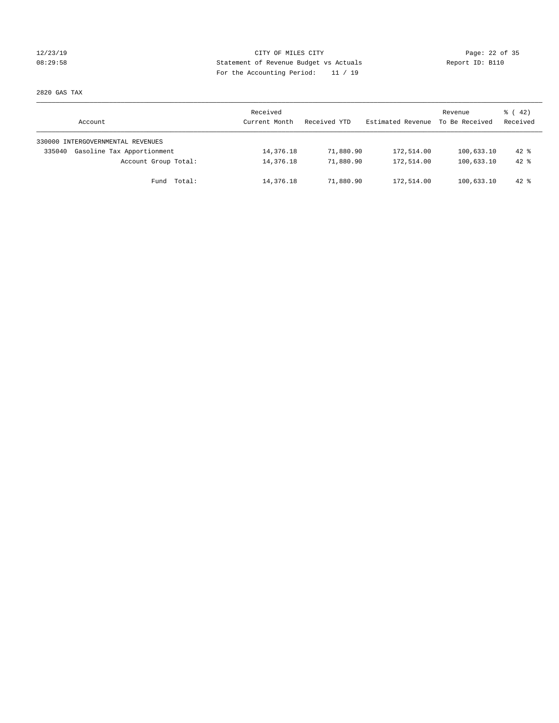## 12/23/19 Page: 22 of 35 08:29:58 Statement of Revenue Budget vs Actuals Report ID: B110 For the Accounting Period: 11 / 19

2820 GAS TAX

| Account                              | Received<br>Current Month | Received YTD | Estimated Revenue | Revenue<br>To Be Received | $\frac{1}{6}$ ( 42)<br>Received |
|--------------------------------------|---------------------------|--------------|-------------------|---------------------------|---------------------------------|
| 330000 INTERGOVERNMENTAL REVENUES    |                           |              |                   |                           |                                 |
| Gasoline Tax Apportionment<br>335040 | 14,376.18                 | 71,880.90    | 172,514.00        | 100,633.10                | $42*$                           |
| Account Group Total:                 | 14,376.18                 | 71,880.90    | 172,514.00        | 100,633.10                | $42*$                           |
| Fund Total:                          | 14,376.18                 | 71,880.90    | 172,514.00        | 100,633.10                | $42*$                           |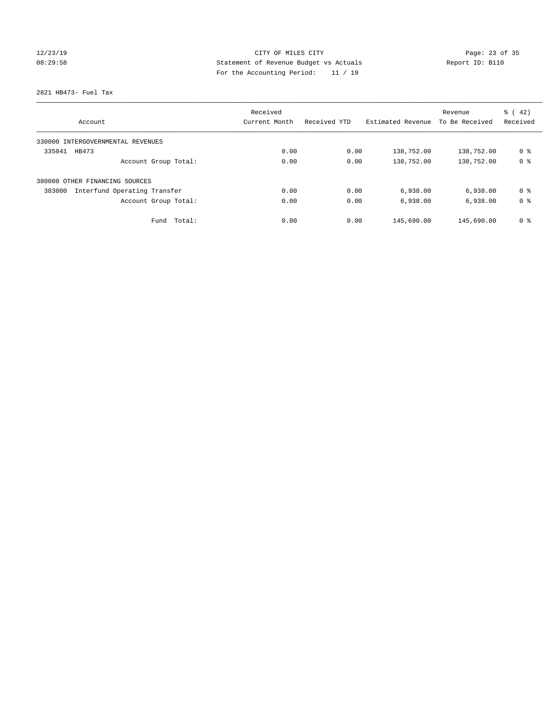## 12/23/19 Page: 23 of 35 08:29:58 Statement of Revenue Budget vs Actuals Report ID: B110 For the Accounting Period: 11 / 19

2821 HB473- Fuel Tax

| Account                                | Received<br>Current Month | Received YTD | Estimated Revenue | Revenue<br>To Be Received | $\frac{1}{6}$ ( 42)<br>Received |
|----------------------------------------|---------------------------|--------------|-------------------|---------------------------|---------------------------------|
|                                        |                           |              |                   |                           |                                 |
| 330000 INTERGOVERNMENTAL REVENUES      |                           |              |                   |                           |                                 |
| 335041<br>HB473                        | 0.00                      | 0.00         | 138,752.00        | 138,752.00                | 0 <sup>8</sup>                  |
| Account Group Total:                   | 0.00                      | 0.00         | 138,752.00        | 138,752.00                | 0 <sup>8</sup>                  |
| 380000 OTHER FINANCING SOURCES         |                           |              |                   |                           |                                 |
| Interfund Operating Transfer<br>383000 | 0.00                      | 0.00         | 6,938.00          | 6,938.00                  | 0 ક                             |
| Account Group Total:                   | 0.00                      | 0.00         | 6,938.00          | 6,938.00                  | 0 <sup>8</sup>                  |
| Total:<br>Fund                         | 0.00                      | 0.00         | 145,690.00        | 145,690.00                | 0 %                             |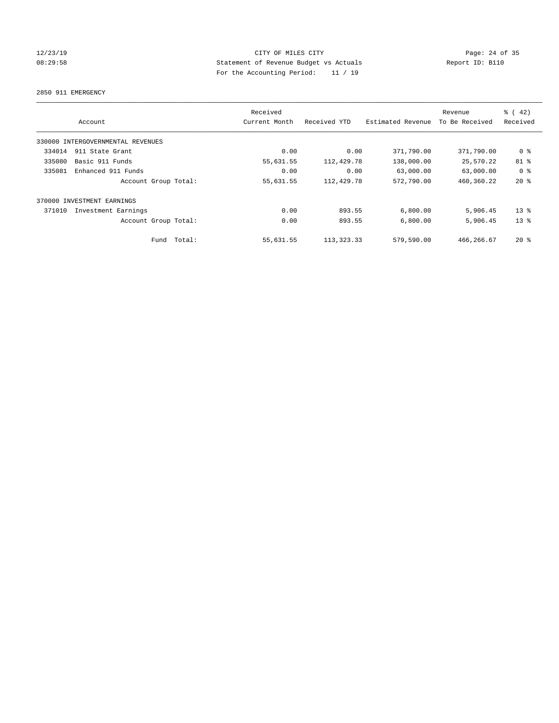## 12/23/19 Page: 24 of 35 08:29:58 Statement of Revenue Budget vs Actuals Report ID: B110 For the Accounting Period: 11 / 19

2850 911 EMERGENCY

|        | Account                           |             | Received<br>Current Month | Received YTD | Estimated Revenue | Revenue<br>To Be Received | % (42)<br>Received |
|--------|-----------------------------------|-------------|---------------------------|--------------|-------------------|---------------------------|--------------------|
|        | 330000 INTERGOVERNMENTAL REVENUES |             |                           |              |                   |                           |                    |
| 334014 | 911 State Grant                   |             | 0.00                      | 0.00         | 371,790.00        | 371,790.00                | 0 %                |
| 335080 | Basic 911 Funds                   |             | 55,631.55                 | 112,429.78   | 138,000.00        | 25,570.22                 | 81 %               |
| 335081 | Enhanced 911 Funds                |             | 0.00                      | 0.00         | 63,000.00         | 63,000.00                 | 0 <sup>8</sup>     |
|        | Account Group Total:              |             | 55,631.55                 | 112,429.78   | 572,790.00        | 460,360.22                | $20*$              |
|        | 370000 INVESTMENT EARNINGS        |             |                           |              |                   |                           |                    |
| 371010 | Investment Earnings               |             | 0.00                      | 893.55       | 6,800.00          | 5,906.45                  | $13*$              |
|        | Account Group Total:              |             | 0.00                      | 893.55       | 6,800.00          | 5,906.45                  | 13 <sup>8</sup>    |
|        |                                   | Fund Total: | 55,631.55                 | 113, 323. 33 | 579,590.00        | 466, 266, 67              | $20*$              |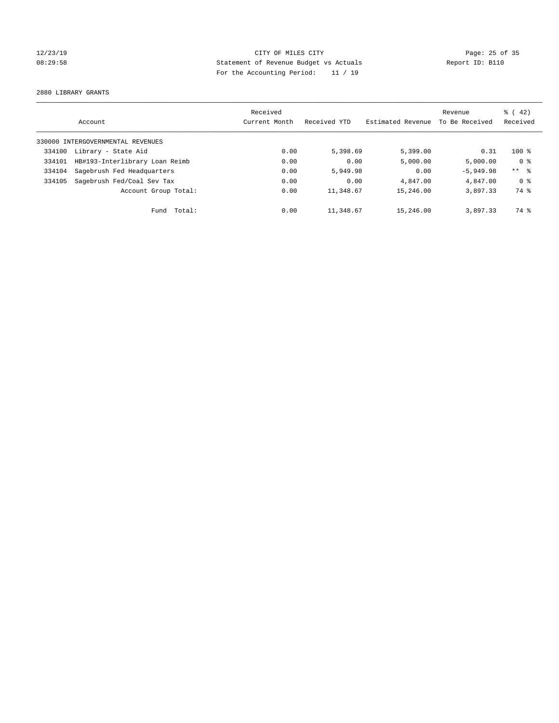## 12/23/19 Page: 25 of 35 08:29:58 Statement of Revenue Budget vs Actuals Report ID: B110 For the Accounting Period: 11 / 19

2880 LIBRARY GRANTS

|        |                                   | Received      |              |                   | Revenue        | $\frac{1}{6}$ ( 42) |
|--------|-----------------------------------|---------------|--------------|-------------------|----------------|---------------------|
|        | Account                           | Current Month | Received YTD | Estimated Revenue | To Be Received | Received            |
|        | 330000 INTERGOVERNMENTAL REVENUES |               |              |                   |                |                     |
| 334100 | Library - State Aid               | 0.00          | 5,398.69     | 5,399.00          | 0.31           | $100*$              |
| 334101 | HB#193-Interlibrary Loan Reimb    | 0.00          | 0.00         | 5,000.00          | 5,000.00       | 0 <sup>8</sup>      |
| 334104 | Sagebrush Fed Headquarters        | 0.00          | 5,949.98     | 0.00              | $-5,949.98$    | ** %                |
| 334105 | Sagebrush Fed/Coal Sev Tax        | 0.00          | 0.00         | 4,847.00          | 4,847.00       | 0 %                 |
|        | Account Group Total:              | 0.00          | 11,348.67    | 15,246.00         | 3,897.33       | 74 %                |
|        | Total:<br>Fund                    | 0.00          | 11,348.67    | 15,246.00         | 3,897.33       | 74 %                |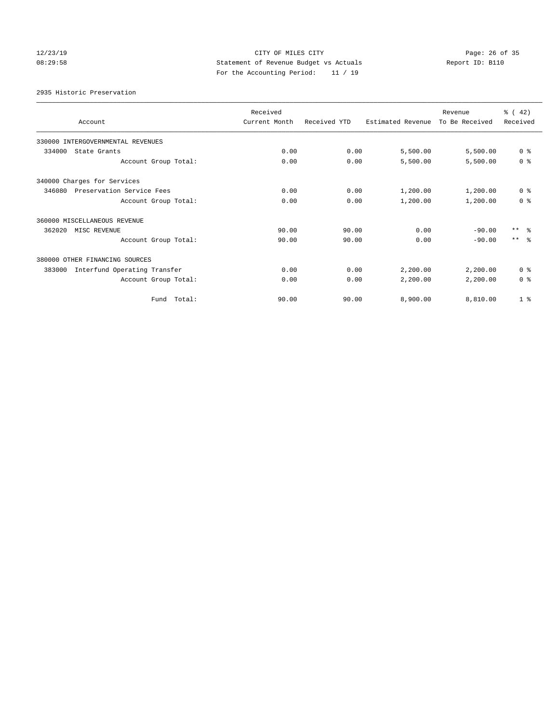## 12/23/19 Page: 26 of 35 08:29:58 Statement of Revenue Budget vs Actuals Report ID: B110 For the Accounting Period: 11 / 19

2935 Historic Preservation

| Account                                | Received<br>Current Month | Received YTD | Estimated Revenue | Revenue<br>To Be Received | $\frac{1}{6}$ ( 42)<br>Received |
|----------------------------------------|---------------------------|--------------|-------------------|---------------------------|---------------------------------|
| 330000 INTERGOVERNMENTAL REVENUES      |                           |              |                   |                           |                                 |
| 334000<br>State Grants                 | 0.00                      | 0.00         | 5,500.00          | 5,500.00                  | 0 <sup>8</sup>                  |
| Account Group Total:                   | 0.00                      | 0.00         | 5,500.00          | 5,500.00                  | 0 <sup>8</sup>                  |
| 340000 Charges for Services            |                           |              |                   |                           |                                 |
| 346080<br>Preservation Service Fees    | 0.00                      | 0.00         | 1,200.00          | 1,200.00                  | 0 <sup>8</sup>                  |
| Account Group Total:                   | 0.00                      | 0.00         | 1,200.00          | 1,200.00                  | 0 <sup>8</sup>                  |
| 360000 MISCELLANEOUS REVENUE           |                           |              |                   |                           |                                 |
| 362020<br>MISC REVENUE                 | 90.00                     | 90.00        | 0.00              | $-90.00$                  | $***$ $\approx$                 |
| Account Group Total:                   | 90.00                     | 90.00        | 0.00              | $-90.00$                  | $***$ $\approx$                 |
| 380000 OTHER FINANCING SOURCES         |                           |              |                   |                           |                                 |
| Interfund Operating Transfer<br>383000 | 0.00                      | 0.00         | 2,200.00          | 2,200.00                  | 0 <sup>8</sup>                  |
| Account Group Total:                   | 0.00                      | 0.00         | 2,200.00          | 2,200.00                  | 0 <sup>8</sup>                  |
| Fund Total:                            | 90.00                     | 90.00        | 8,900.00          | 8,810.00                  | 1 <sup>8</sup>                  |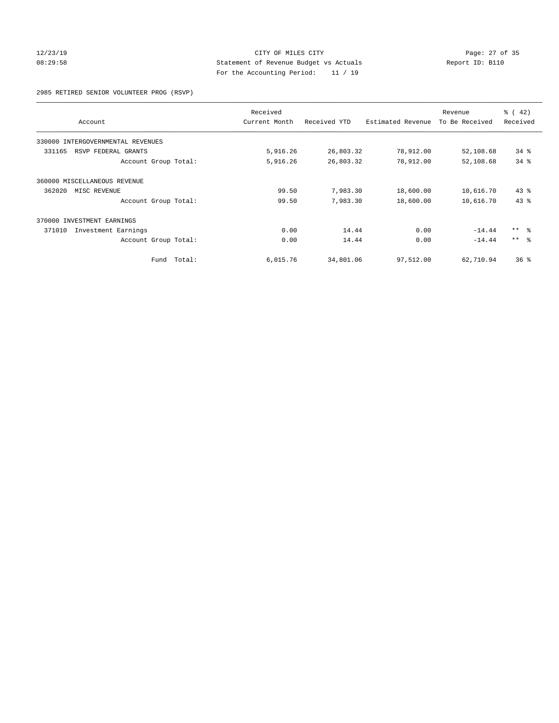## 12/23/19 Page: 27 of 35 08:29:58 Statement of Revenue Budget vs Actuals Report ID: B110 For the Accounting Period: 11 / 19

2985 RETIRED SENIOR VOLUNTEER PROG (RSVP)

|                                   |        | Received      |              |                   | Revenue        | $\frac{3}{6}$ ( 42) |
|-----------------------------------|--------|---------------|--------------|-------------------|----------------|---------------------|
| Account                           |        | Current Month | Received YTD | Estimated Revenue | To Be Received | Received            |
| 330000 INTERGOVERNMENTAL REVENUES |        |               |              |                   |                |                     |
| 331165<br>RSVP FEDERAL GRANTS     |        | 5,916.26      | 26,803.32    | 78,912.00         | 52,108.68      | $34$ $%$            |
| Account Group Total:              |        | 5,916.26      | 26,803.32    | 78,912.00         | 52,108.68      | 34%                 |
| 360000 MISCELLANEOUS REVENUE      |        |               |              |                   |                |                     |
| 362020<br>MISC REVENUE            |        | 99.50         | 7,983.30     | 18,600.00         | 10,616.70      | 43.8                |
| Account Group Total:              |        | 99.50         | 7,983.30     | 18,600.00         | 10,616.70      | 43.8                |
| 370000 INVESTMENT EARNINGS        |        |               |              |                   |                |                     |
| 371010<br>Investment Earnings     |        | 0.00          | 14.44        | 0.00              | $-14.44$       | $***$ $ -$          |
| Account Group Total:              |        | 0.00          | 14.44        | 0.00              | $-14.44$       | $***$ $\approx$     |
| Fund                              | Total: | 6,015.76      | 34,801.06    | 97,512.00         | 62,710.94      | 36%                 |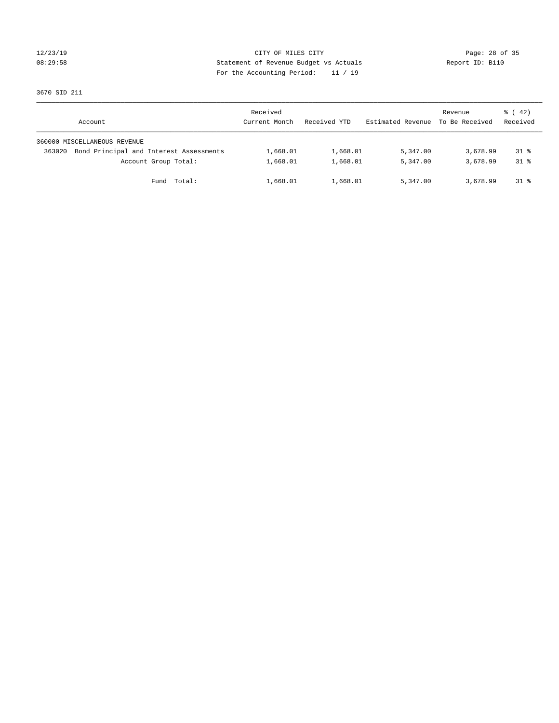## 12/23/19 Page: 28 of 35 08:29:58 Statement of Revenue Budget vs Actuals Report ID: B110 For the Accounting Period: 11 / 19

3670 SID 211

|        | Account                                 | Received<br>Current Month | Received YTD | Estimated Revenue | Revenue<br>To Be Received | $\frac{1}{6}$ ( 42)<br>Received |
|--------|-----------------------------------------|---------------------------|--------------|-------------------|---------------------------|---------------------------------|
|        | 360000 MISCELLANEOUS REVENUE            |                           |              |                   |                           |                                 |
| 363020 | Bond Principal and Interest Assessments | 1,668.01                  | 1,668.01     | 5,347.00          | 3,678.99                  | $31*$                           |
|        | Account Group Total:                    | 1,668.01                  | 1,668.01     | 5,347.00          | 3,678.99                  | $31*$                           |
|        | Fund Total:                             | 1,668.01                  | 1,668.01     | 5,347.00          | 3,678.99                  | $31*$                           |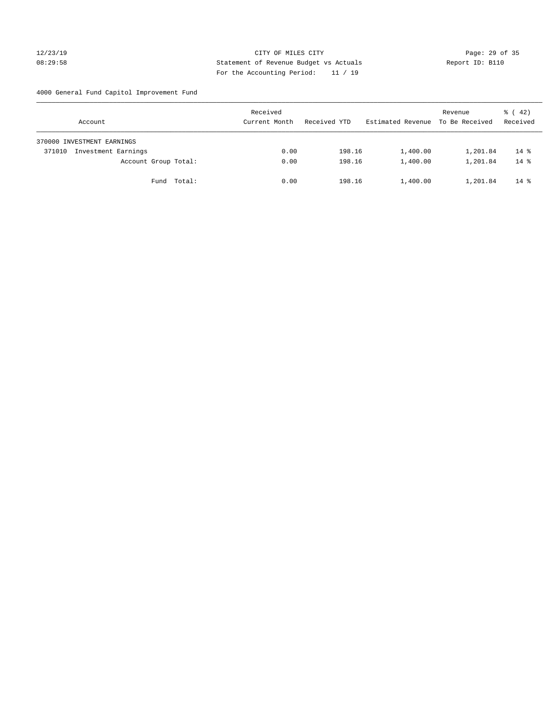## 12/23/19 Page: 29 of 35 08:29:58 Statement of Revenue Budget vs Actuals Report ID: B110 For the Accounting Period: 11 / 19

4000 General Fund Capitol Improvement Fund

| Account                       | Received<br>Current Month | Received YTD | Estimated Revenue | Revenue<br>To Be Received | $\frac{1}{6}$ ( 42)<br>Received |
|-------------------------------|---------------------------|--------------|-------------------|---------------------------|---------------------------------|
| 370000 INVESTMENT EARNINGS    |                           |              |                   |                           |                                 |
| Investment Earnings<br>371010 | 0.00                      | 198.16       | 1,400.00          | 1,201.84                  | $14*$                           |
| Account Group Total:          | 0.00                      | 198.16       | 1,400.00          | 1,201.84                  | $14*$                           |
| Fund Total:                   | 0.00                      | 198.16       | 1,400.00          | 1,201.84                  | $14*$                           |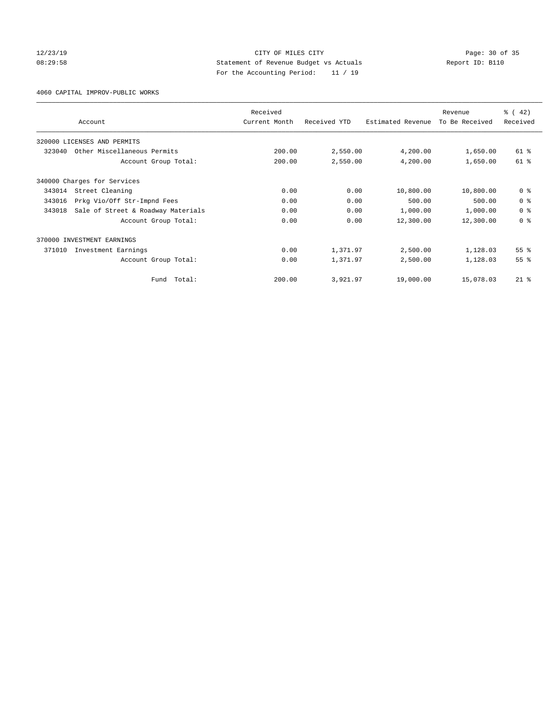## 12/23/19 Page: 30 of 35 08:29:58 Statement of Revenue Budget vs Actuals Report ID: B110 For the Accounting Period: 11 / 19

4060 CAPITAL IMPROV-PUBLIC WORKS

|        |                                    | Received      |              |                   | Revenue        | % (42)          |
|--------|------------------------------------|---------------|--------------|-------------------|----------------|-----------------|
|        | Account                            | Current Month | Received YTD | Estimated Revenue | To Be Received | Received        |
|        | 320000 LICENSES AND PERMITS        |               |              |                   |                |                 |
| 323040 | Other Miscellaneous Permits        | 200.00        | 2,550.00     | 4,200.00          | 1,650.00       | 61 %            |
|        | Account Group Total:               | 200.00        | 2,550.00     | 4,200.00          | 1,650.00       | 61 %            |
|        | 340000 Charges for Services        |               |              |                   |                |                 |
| 343014 | Street Cleaning                    | 0.00          | 0.00         | 10,800.00         | 10,800.00      | 0 <sup>8</sup>  |
| 343016 | Prkg Vio/Off Str-Impnd Fees        | 0.00          | 0.00         | 500.00            | 500.00         | 0 <sup>8</sup>  |
| 343018 | Sale of Street & Roadway Materials | 0.00          | 0.00         | 1,000.00          | 1,000.00       | 0 <sup>8</sup>  |
|        | Account Group Total:               | 0.00          | 0.00         | 12,300.00         | 12,300.00      | 0 <sup>8</sup>  |
|        | 370000 INVESTMENT EARNINGS         |               |              |                   |                |                 |
| 371010 | Investment Earnings                | 0.00          | 1,371.97     | 2,500.00          | 1,128.03       | 55 <sup>8</sup> |
|        | Account Group Total:               | 0.00          | 1,371.97     | 2,500.00          | 1,128.03       | 55 <sup>8</sup> |
|        | Total:<br>Fund                     | 200.00        | 3,921.97     | 19,000.00         | 15,078.03      | $21$ $%$        |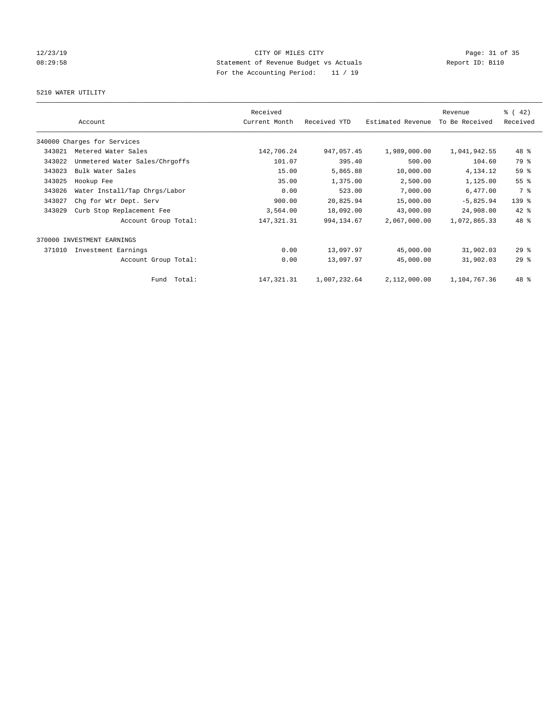## 12/23/19 Page: 31 of 35 08:29:58 Statement of Revenue Budget vs Actuals Report ID: B110 For the Accounting Period: 11 / 19

# 5210 WATER UTILITY

|        |                                | Received      |              |                   | Revenue        | $\frac{1}{6}$ (42) |
|--------|--------------------------------|---------------|--------------|-------------------|----------------|--------------------|
|        | Account                        | Current Month | Received YTD | Estimated Revenue | To Be Received | Received           |
|        | 340000 Charges for Services    |               |              |                   |                |                    |
| 343021 | Metered Water Sales            | 142,706.24    | 947,057.45   | 1,989,000.00      | 1,041,942.55   | 48 %               |
| 343022 | Unmetered Water Sales/Chrgoffs | 101.07        | 395.40       | 500.00            | 104.60         | 79 %               |
| 343023 | Bulk Water Sales               | 15.00         | 5,865.88     | 10,000.00         | 4, 134. 12     | 59 %               |
| 343025 | Hookup Fee                     | 35.00         | 1,375.00     | 2,500.00          | 1,125.00       | 55%                |
| 343026 | Water Install/Tap Chrgs/Labor  | 0.00          | 523.00       | 7,000.00          | 6,477.00       | 7 %                |
| 343027 | Chg for Wtr Dept. Serv         | 900.00        | 20,825.94    | 15,000.00         | $-5,825.94$    | 139 %              |
| 343029 | Curb Stop Replacement Fee      | 3,564.00      | 18,092.00    | 43,000.00         | 24,908.00      | $42$ %             |
|        | Account Group Total:           | 147, 321.31   | 994, 134.67  | 2,067,000.00      | 1,072,865.33   | 48 %               |
| 370000 | INVESTMENT EARNINGS            |               |              |                   |                |                    |
| 371010 | Investment Earnings            | 0.00          | 13,097.97    | 45,000.00         | 31,902.03      | $29$ $%$           |
|        | Account Group Total:           | 0.00          | 13,097.97    | 45,000.00         | 31,902.03      | 29%                |
|        | Total:<br>Fund                 | 147, 321.31   | 1,007,232.64 | 2,112,000.00      | 1,104,767.36   | 48 %               |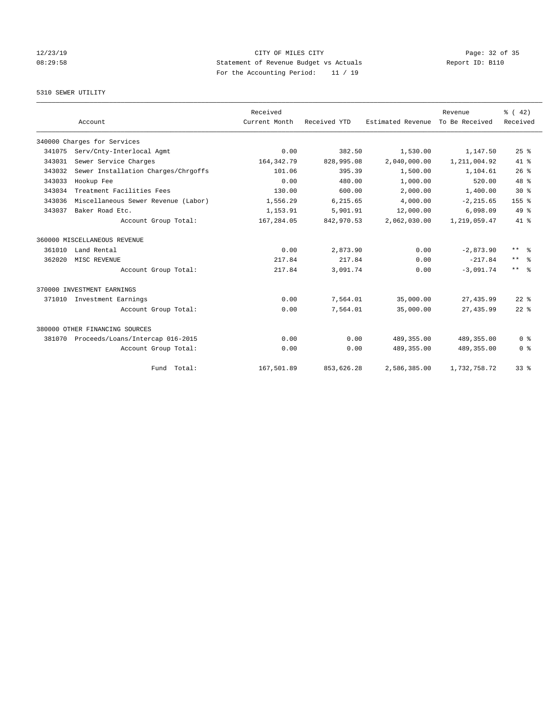## 12/23/19 Page: 32 of 35 08:29:58 Statement of Revenue Budget vs Actuals Report ID: B110 For the Accounting Period: 11 / 19

## 5310 SEWER UTILITY

|        | Account                             | Received<br>Current Month | Received YTD | Estimated Revenue | Revenue<br>To Be Received | % (42)<br>Received            |
|--------|-------------------------------------|---------------------------|--------------|-------------------|---------------------------|-------------------------------|
|        | 340000 Charges for Services         |                           |              |                   |                           |                               |
| 341075 | Serv/Cnty-Interlocal Agmt           | 0.00                      | 382.50       | 1,530.00          | 1,147.50                  | 25%                           |
| 343031 | Sewer Service Charges               | 164, 342. 79              | 828,995.08   | 2,040,000.00      | 1,211,004.92              | $41*$                         |
| 343032 | Sewer Installation Charges/Chrgoffs | 101.06                    | 395.39       | 1,500.00          | 1,104.61                  | 26%                           |
| 343033 | Hookup Fee                          | 0.00                      | 480.00       | 1,000.00          | 520.00                    | 48 %                          |
| 343034 | Treatment Facilities Fees           | 130.00                    | 600.00       | 2,000.00          | 1,400.00                  | $30*$                         |
| 343036 | Miscellaneous Sewer Revenue (Labor) | 1,556.29                  | 6,215.65     | 4,000.00          | $-2, 215.65$              | 155 <sub>8</sub>              |
| 343037 | Baker Road Etc.                     | 1,153.91                  | 5,901.91     | 12,000.00         | 6,098.09                  | $49*$                         |
|        | Account Group Total:                | 167,284.05                | 842,970.53   | 2,062,030.00      | 1,219,059.47              | $41*$                         |
|        | 360000 MISCELLANEOUS REVENUE        |                           |              |                   |                           |                               |
| 361010 | Land Rental                         | 0.00                      | 2,873.90     | 0.00              | $-2.873.90$               | $***$<br>ം                    |
| 362020 | MISC REVENUE                        | 217.84                    | 217.84       | 0.00              | $-217.84$                 | $\star\star$<br>$\frac{6}{6}$ |
|        | Account Group Total:                | 217.84                    | 3,091.74     | 0.00              | $-3,091.74$               | $***$ $%$                     |
|        | 370000 INVESTMENT EARNINGS          |                           |              |                   |                           |                               |
|        | 371010 Investment Earnings          | 0.00                      | 7,564.01     | 35,000.00         | 27, 435.99                | $22$ $%$                      |
|        | Account Group Total:                | 0.00                      | 7,564.01     | 35,000.00         | 27, 435.99                | $22$ $%$                      |
|        | 380000 OTHER FINANCING SOURCES      |                           |              |                   |                           |                               |
| 381070 | Proceeds/Loans/Intercap 016-2015    | 0.00                      | 0.00         | 489, 355.00       | 489, 355.00               | 0 <sup>8</sup>                |
|        | Account Group Total:                | 0.00                      | 0.00         | 489, 355.00       | 489,355.00                | 0 <sup>8</sup>                |
|        | Fund Total:                         | 167,501.89                | 853,626.28   | 2,586,385.00      | 1,732,758.72              | 33%                           |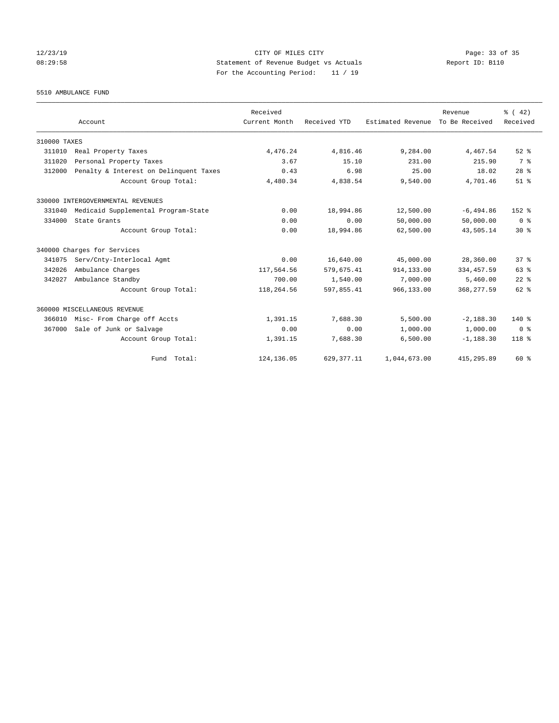## 12/23/19 Page: 33 of 35 08:29:58 Statement of Revenue Budget vs Actuals Report ID: B110 For the Accounting Period: 11 / 19

5510 AMBULANCE FUND

|              |                                        | Received      |              |                   | Revenue        | $\frac{1}{6}$ ( 42) |
|--------------|----------------------------------------|---------------|--------------|-------------------|----------------|---------------------|
|              | Account                                | Current Month | Received YTD | Estimated Revenue | To Be Received | Received            |
| 310000 TAXES |                                        |               |              |                   |                |                     |
| 311010       | Real Property Taxes                    | 4,476.24      | 4,816.46     | 9,284.00          | 4,467.54       | $52$ $%$            |
| 311020       | Personal Property Taxes                | 3.67          | 15.10        | 231.00            | 215.90         | 7 %                 |
| 312000       | Penalty & Interest on Delinquent Taxes | 0.43          | 6.98         | 25.00             | 18.02          | $28$ %              |
|              | Account Group Total:                   | 4,480.34      | 4,838.54     | 9,540.00          | 4,701.46       | $51$ $%$            |
|              | 330000 INTERGOVERNMENTAL REVENUES      |               |              |                   |                |                     |
| 331040       | Medicaid Supplemental Program-State    | 0.00          | 18,994.86    | 12,500.00         | $-6,494.86$    | 152 %               |
| 334000       | State Grants                           | 0.00          | 0.00         | 50,000.00         | 50,000.00      | 0 <sup>8</sup>      |
|              | Account Group Total:                   | 0.00          | 18,994.86    | 62,500.00         | 43,505.14      | $30*$               |
|              | 340000 Charges for Services            |               |              |                   |                |                     |
| 341075       | Serv/Cnty-Interlocal Agmt              | 0.00          | 16,640.00    | 45,000.00         | 28,360.00      | 37%                 |
| 342026       | Ambulance Charges                      | 117,564.56    | 579,675.41   | 914,133.00        | 334, 457.59    | 63 %                |
| 342027       | Ambulance Standby                      | 700.00        | 1,540.00     | 7,000.00          | 5,460.00       | $22$ %              |
|              | Account Group Total:                   | 118,264.56    | 597,855.41   | 966,133.00        | 368, 277.59    | $62$ $%$            |
|              | 360000 MISCELLANEOUS REVENUE           |               |              |                   |                |                     |
| 366010       | Misc- From Charge off Accts            | 1,391.15      | 7,688.30     | 5,500.00          | $-2,188.30$    | $140*$              |
| 367000       | Sale of Junk or Salvage                | 0.00          | 0.00         | 1,000.00          | 1,000.00       | 0 <sup>8</sup>      |
|              | Account Group Total:                   | 1,391.15      | 7,688.30     | 6,500.00          | $-1, 188.30$   | 118 %               |
|              | Fund Total:                            | 124, 136.05   | 629, 377.11  | 1,044,673.00      | 415,295.89     | 60 %                |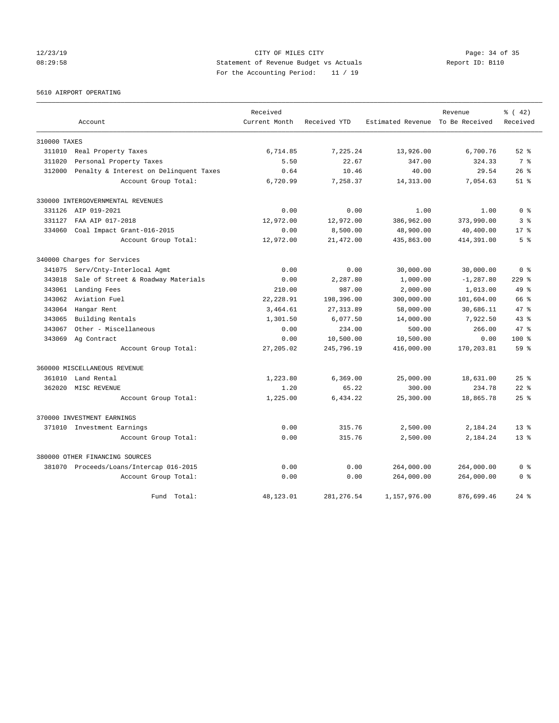## 12/23/19 Page: 34 of 35 08:29:58 Statement of Revenue Budget vs Actuals Report ID: B110 For the Accounting Period: 11 / 19

5610 AIRPORT OPERATING

|              |                                         | Received      |              |                                  | Revenue      | % (42)          |
|--------------|-----------------------------------------|---------------|--------------|----------------------------------|--------------|-----------------|
|              | Account                                 | Current Month | Received YTD | Estimated Revenue To Be Received |              | Received        |
| 310000 TAXES |                                         |               |              |                                  |              |                 |
| 311010       | Real Property Taxes                     | 6,714.85      | 7.225.24     | 13,926.00                        | 6,700.76     | $52$ $%$        |
| 311020       | Personal Property Taxes                 | 5.50          | 22.67        | 347.00                           | 324.33       | 7 <sup>°</sup>  |
| 312000       | Penalty & Interest on Delinquent Taxes  | 0.64          | 10.46        | 40.00                            | 29.54        | $26$ $%$        |
|              | Account Group Total:                    | 6,720.99      | 7,258.37     | 14, 313.00                       | 7,054.63     | $51$ $%$        |
|              | 330000 INTERGOVERNMENTAL REVENUES       |               |              |                                  |              |                 |
|              | 331126 AIP 019-2021                     | 0.00          | 0.00         | 1.00                             | 1.00         | 0 <sup>8</sup>  |
| 331127       | FAA AIP 017-2018                        | 12,972.00     | 12,972.00    | 386,962.00                       | 373,990.00   | 3%              |
| 334060       | Coal Impact Grant-016-2015              | 0.00          | 8,500.00     | 48,900.00                        | 40,400.00    | $17*$           |
|              | Account Group Total:                    | 12,972.00     | 21,472.00    | 435,863.00                       | 414,391.00   | 5 %             |
|              | 340000 Charges for Services             |               |              |                                  |              |                 |
| 341075       | Serv/Cnty-Interlocal Agmt               | 0.00          | 0.00         | 30,000.00                        | 30,000.00    | 0 <sup>8</sup>  |
| 343018       | Sale of Street & Roadway Materials      | 0.00          | 2,287.80     | 1,000.00                         | $-1, 287.80$ | $229$ $%$       |
| 343061       | Landing Fees                            | 210.00        | 987.00       | 2,000.00                         | 1,013.00     | 49 %            |
| 343062       | Aviation Fuel                           | 22, 228.91    | 198,396.00   | 300,000.00                       | 101,604.00   | 66 %            |
| 343064       | Hangar Rent                             | 3,464.61      | 27, 313.89   | 58,000.00                        | 30,686.11    | $47*$           |
| 343065       | Building Rentals                        | 1,301.50      | 6,077.50     | 14,000.00                        | 7,922.50     | $43*$           |
| 343067       | Other - Miscellaneous                   | 0.00          | 234.00       | 500.00                           | 266.00       | 47.8            |
| 343069       | Ag Contract                             | 0.00          | 10,500.00    | 10,500.00                        | 0.00         | $100$ %         |
|              | Account Group Total:                    | 27,205.02     | 245,796.19   | 416,000.00                       | 170,203.81   | 59 <sup>8</sup> |
|              | 360000 MISCELLANEOUS REVENUE            |               |              |                                  |              |                 |
| 361010       | Land Rental                             | 1,223.80      | 6,369.00     | 25,000.00                        | 18,631.00    | $25$ $%$        |
| 362020       | MISC REVENUE                            | 1.20          | 65.22        | 300.00                           | 234.78       | $22$ $%$        |
|              | Account Group Total:                    | 1,225.00      | 6,434.22     | 25,300.00                        | 18,865.78    | $25$ $%$        |
|              | 370000 INVESTMENT EARNINGS              |               |              |                                  |              |                 |
|              | 371010 Investment Earnings              | 0.00          | 315.76       | 2,500.00                         | 2,184.24     | $13*$           |
|              | Account Group Total:                    | 0.00          | 315.76       | 2,500.00                         | 2,184.24     | $13*$           |
|              | 380000 OTHER FINANCING SOURCES          |               |              |                                  |              |                 |
|              | 381070 Proceeds/Loans/Intercap 016-2015 | 0.00          | 0.00         | 264,000.00                       | 264,000.00   | 0 <sup>8</sup>  |
|              | Account Group Total:                    | 0.00          | 0.00         | 264,000.00                       | 264,000.00   | 0 <sup>8</sup>  |
|              | Fund Total:                             | 48,123.01     | 281, 276.54  | 1,157,976.00                     | 876,699.46   | $24$ %          |